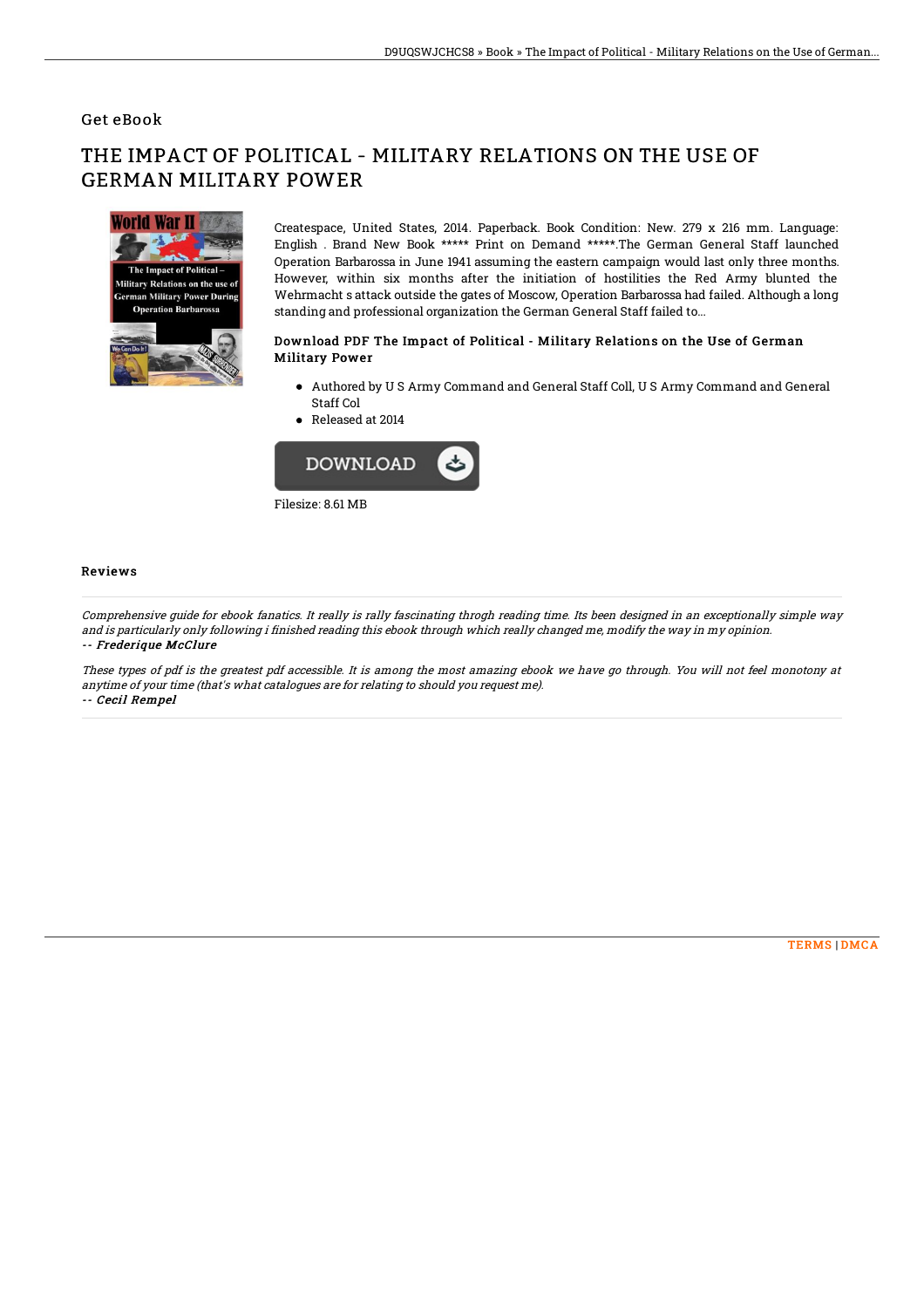### Get eBook

# THE IMPACT OF POLITICAL - MILITARY RELATIONS ON THE USE OF GERMAN MILITARY POWER



Createspace, United States, 2014. Paperback. Book Condition: New. 279 x 216 mm. Language: English . Brand New Book \*\*\*\*\* Print on Demand \*\*\*\*\*.The German General Staff launched Operation Barbarossa in June 1941 assuming the eastern campaign would last only three months. However, within six months after the initiation of hostilities the Red Army blunted the Wehrmacht s attack outside the gates of Moscow, Operation Barbarossa had failed. Although a long standing and professional organization the German General Staff failed to...

#### Download PDF The Impact of Political - Military Relations on the Use of German Military Power

- Authored by U S Army Command and General Staff Coll, U S Army Command and General Staff Col
- Released at 2014



#### Reviews

Comprehensive guide for ebook fanatics. It really is rally fascinating throgh reading time. Its been designed in an exceptionally simple way and is particularly only following i finished reading this ebook through which really changed me, modify the way in my opinion. -- Frederique McClure

These types of pdf is the greatest pdf accessible. It is among the most amazing ebook we have go through. You will not feel monotony at anytime of your time (that's what catalogues are for relating to should you request me). -- Cecil Rempel